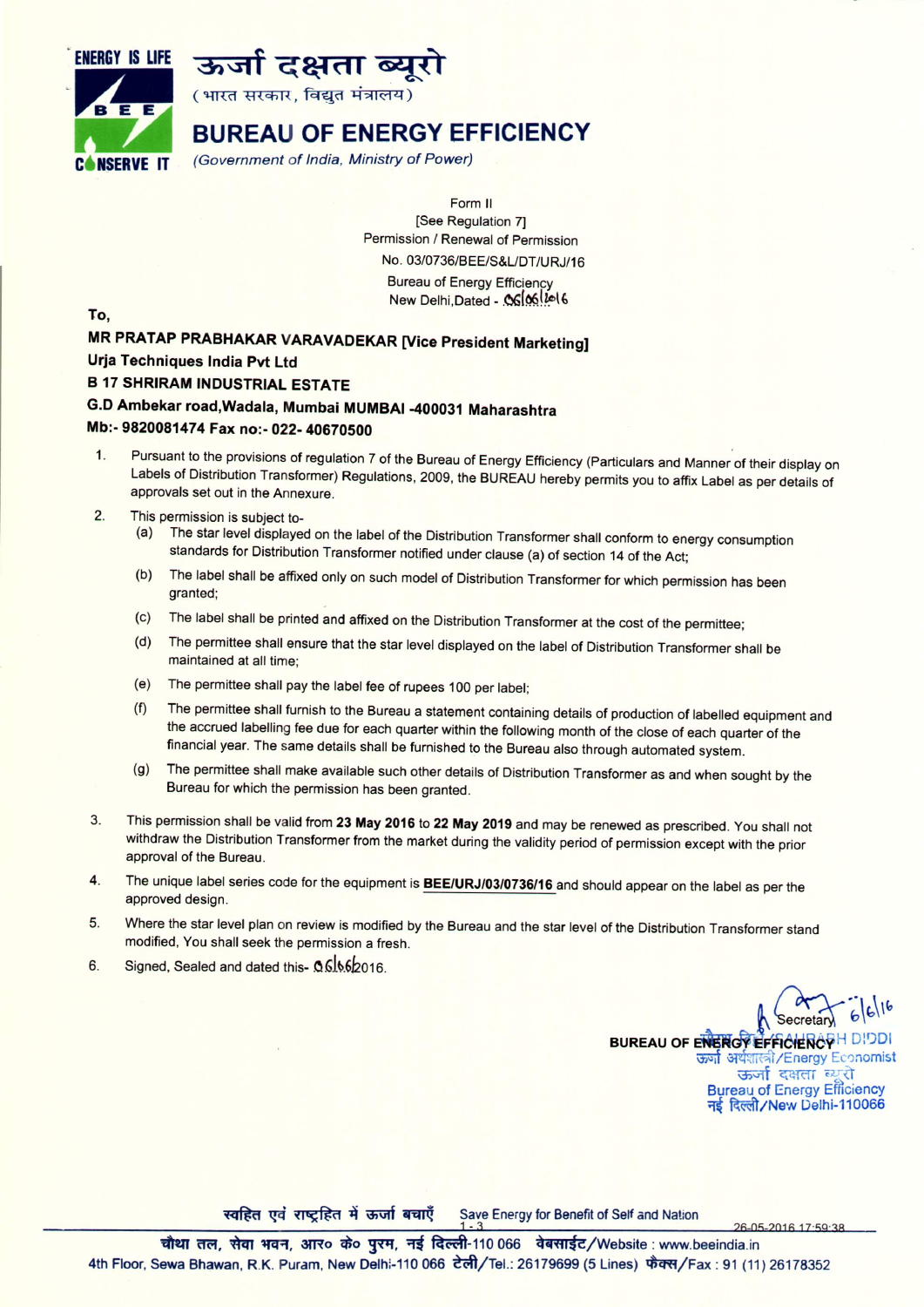



(भारत सरकार, विद्युत मंत्रालय)

# BUREAU OF ENERGY EFFICIENCY

C'N\$ERVE IT *(Government* of *India, Ministry* of *Power)*

Form II [See Regulation 7] Permission / Renewal of Permission No. *03/0736/BEE/S&L/DT/URJ/16* **Bureau of Energy Efficiency** New Delhi,Dated - .OG 06 ! ! ol 6

To,

MR PRATAP PRABHAKAR VARAVADEKAR [Vice President Marketing] Urja Techniques India Pvt Ltd B 17 SHRIRAM INDUSTRIAL ESTATE G.D Ambekar road,Wadala, Mumbai MUMBAI-400031 Maharashtra

### Mb:- 9820081474 Fax no:- 022- 40670500

- 1. Pursuant to the provisions of regulation 7 of the Bureau of Energy Efficiency (Particulars and Manner of their display on Labels of Distribution Transformer) Regulations, 2009, the BUREAU hereby permits you to affix Label as per details of approvals set out in the Annexure.
- 2. This permission is subject to-
	- (a) The star level displayed on the label of the Distribution Transformer shall conform to energy consumption standards for Distribution Transformer notified under clause (a) of section 14 of the Act;
	- (b) The label shall be affixed only on such model of Distribution Transformer for which permission has been granted;
	- (c) The label shall be printed and affixed on the Distribution Transformer at the cost of the permittee;
	- (d) The permittee shall ensure that the star level displayed on the label of Distribution Transformer shall be maintained at all time;
	- (e) The permittee shall pay the label fee of rupees 100 per label;
	- (f) The permittee shall furnish to the Bureau a statement containing details of production of labelled equipment and the accrued labelling fee due for each quarter within the following month of the close of each quarter of the financial year. The same details shall be furnished to the Bureau also through automated system.
	- (g) The permittee shall make available such other details of Distribution Transformer as and when sought by the Bureau for which the permission has been granted.
- 3. This permission shall be valid from 23 May 2016 to 22 May 2019 and may be renewed as prescribed. You shall not withdraw the Distribution Transformer from the market during the validity period of permission except with the prior approval of the Bureau.
- 4. The unique label series code for the equipment is **BEE/URJ/03/0736/16** and should appear on the label as per the approved design.
- 5. Where the star level plan on review is modified by the Bureau and the star level of the Distribution Transformer stand modified, You shall seek the permission a fresh.
- 6. Signed, Sealed and dated this- 0.6.166/2016.

।<br>।<br>।<br>| ।<br>| । । । । । ।<br>| । ।  $\uparrow$ Secretary 6 BUREAU OF ENERGY EFFICIENCYH DIDDI क्यां अर्थशास्त्री/Energy Economist **ऊ**र्जा दक्षता ब्यूरो Bureau of Energy Efficiency नई दिल्ली/New Delhi-110066

26-05-2016 17:59:38

स्वहित एवं राष्ट्रहित में ऊर्जा बचाएँ Save Energy for Benefit of Self and Nation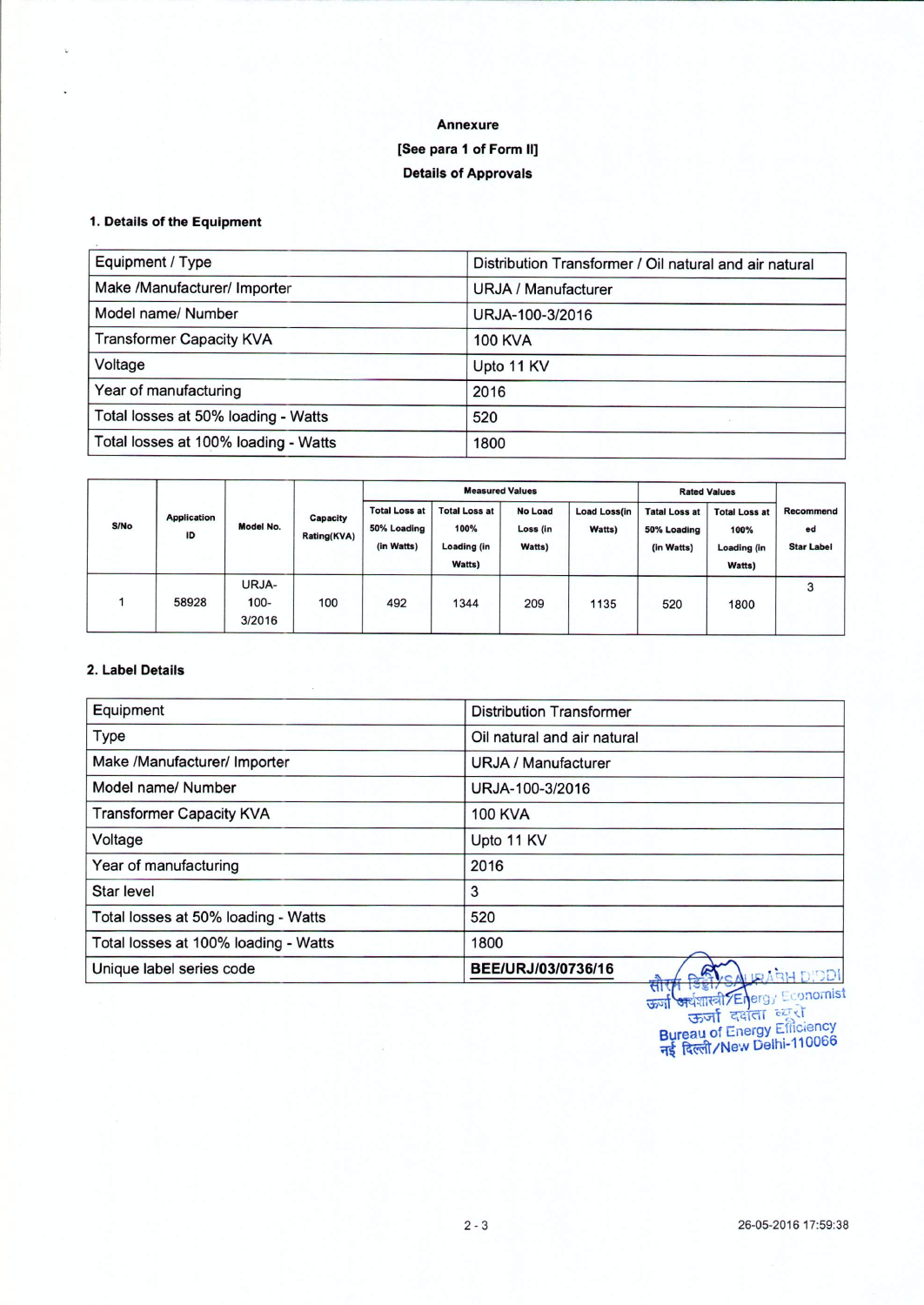## **Annexure [See para 1 of Form II] Details of Approvals**

#### 1. **Details of the Equipment**

 $\bar{\nu}$ 

| Equipment / Type                     | Distribution Transformer / Oil natural and air natural |
|--------------------------------------|--------------------------------------------------------|
| Make /Manufacturer/ Importer         | URJA / Manufacturer                                    |
| Model name/Number                    | URJA-100-3/2016                                        |
| <b>Transformer Capacity KVA</b>      | <b>100 KVA</b>                                         |
| Voltage                              | Upto 11 KV                                             |
| Year of manufacturing                | 2016                                                   |
| Total losses at 50% loading - Watts  | 520                                                    |
| Total losses at 100% loading - Watts | 1800                                                   |

| S/No | <b>Application</b><br>ID | Model No.                  | Capacity<br><b>Rating(KVA)</b> | <b>Measured Values</b>                            |                                                              |                                      |                               | <b>Rated Values</b>                               |                                                              |                                      |
|------|--------------------------|----------------------------|--------------------------------|---------------------------------------------------|--------------------------------------------------------------|--------------------------------------|-------------------------------|---------------------------------------------------|--------------------------------------------------------------|--------------------------------------|
|      |                          |                            |                                | <b>Total Loss at</b><br>50% Loading<br>(in Watts) | <b>Total Loss at</b><br>100%<br><b>Loading (in</b><br>Watts) | <b>No Load</b><br>Loss (in<br>Watts) | <b>Load Loss(in</b><br>Watts) | <b>Tatal Loss at</b><br>50% Loading<br>(in Watts) | <b>Total Loss at</b><br>100%<br><b>Loading (in</b><br>Watts) | Recommend<br>ed<br><b>Star Label</b> |
|      | 58928                    | URJA-<br>$100 -$<br>3/2016 | 100                            | 492                                               | 1344                                                         | 209                                  | 1135                          | 520                                               | 1800                                                         | 3                                    |

### 2. **Label Details**

| Equipment                            | <b>Distribution Transformer</b> |
|--------------------------------------|---------------------------------|
| Type                                 | Oil natural and air natural     |
| Make /Manufacturer/ Importer         | URJA / Manufacturer             |
| Model name/ Number                   | URJA-100-3/2016                 |
| <b>Transformer Capacity KVA</b>      | <b>100 KVA</b>                  |
| Voltage                              | Upto 11 KV                      |
| Year of manufacturing                | 2016                            |
| Star level                           | 3                               |
| Total losses at 50% loading - Watts  | 520                             |
| Total losses at 100% loading - Watts | 1800                            |
| Unique label series code             | BEE/URJ/03/0736/16              |

ऊर्जा अर्थशास्त्री Energy Economist **Bureau of Energy Efficiency** नर्द दिल्ली / New Delhi-110066